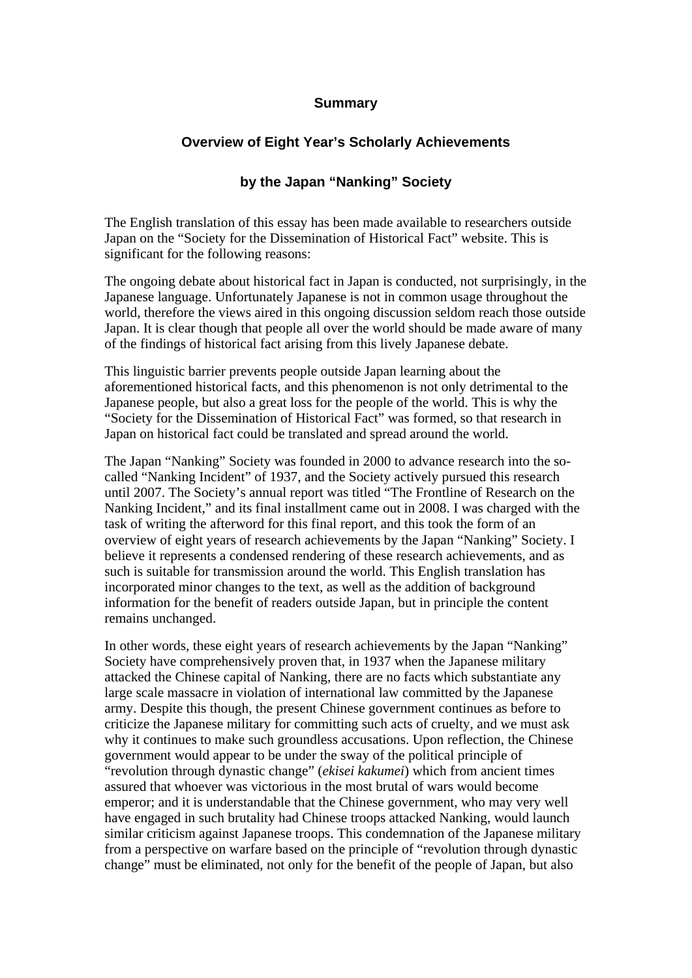## **Summary**

## **Overview of Eight Year's Scholarly Achievements**

## **by the Japan "Nanking" Society**

The English translation of this essay has been made available to researchers outside Japan on the "Society for the Dissemination of Historical Fact" website. This is significant for the following reasons:

The ongoing debate about historical fact in Japan is conducted, not surprisingly, in the Japanese language. Unfortunately Japanese is not in common usage throughout the world, therefore the views aired in this ongoing discussion seldom reach those outside Japan. It is clear though that people all over the world should be made aware of many of the findings of historical fact arising from this lively Japanese debate.

This linguistic barrier prevents people outside Japan learning about the aforementioned historical facts, and this phenomenon is not only detrimental to the Japanese people, but also a great loss for the people of the world. This is why the "Society for the Dissemination of Historical Fact" was formed, so that research in Japan on historical fact could be translated and spread around the world.

The Japan "Nanking" Society was founded in 2000 to advance research into the socalled "Nanking Incident" of 1937, and the Society actively pursued this research until 2007. The Society's annual report was titled "The Frontline of Research on the Nanking Incident," and its final installment came out in 2008. I was charged with the task of writing the afterword for this final report, and this took the form of an overview of eight years of research achievements by the Japan "Nanking" Society. I believe it represents a condensed rendering of these research achievements, and as such is suitable for transmission around the world. This English translation has incorporated minor changes to the text, as well as the addition of background information for the benefit of readers outside Japan, but in principle the content remains unchanged.

In other words, these eight years of research achievements by the Japan "Nanking" Society have comprehensively proven that, in 1937 when the Japanese military attacked the Chinese capital of Nanking, there are no facts which substantiate any large scale massacre in violation of international law committed by the Japanese army. Despite this though, the present Chinese government continues as before to criticize the Japanese military for committing such acts of cruelty, and we must ask why it continues to make such groundless accusations. Upon reflection, the Chinese government would appear to be under the sway of the political principle of "revolution through dynastic change" (*ekisei kakumei*) which from ancient times assured that whoever was victorious in the most brutal of wars would become emperor; and it is understandable that the Chinese government, who may very well have engaged in such brutality had Chinese troops attacked Nanking, would launch similar criticism against Japanese troops. This condemnation of the Japanese military from a perspective on warfare based on the principle of "revolution through dynastic change" must be eliminated, not only for the benefit of the people of Japan, but also